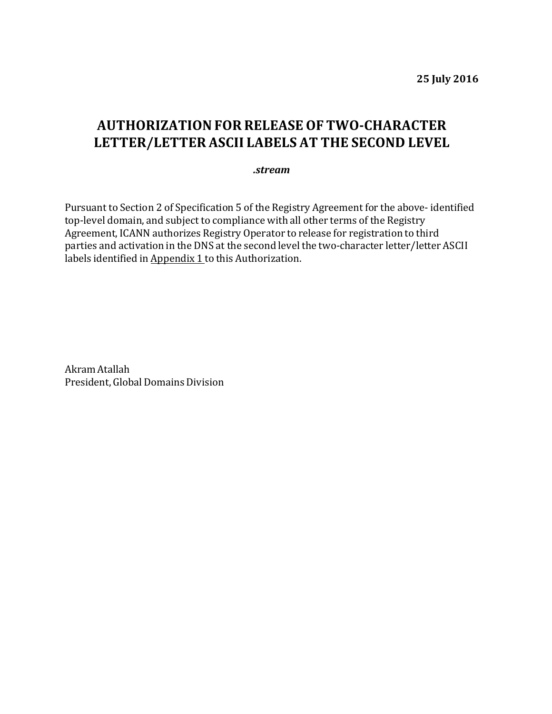**25 July 2016**

## **AUTHORIZATIONFOR RELEASE OF TWO-CHARACTER LETTER/LETTER ASCII LABELS AT THE SECOND LEVEL**

## *.stream*

Pursuant to Section 2 of Specification 5 of the Registry Agreement for the above- identified top-level domain, and subject to compliance with all other terms of the Registry Agreement, ICANN authorizes Registry Operator to release for registration to third parties and activation in the DNS at the second level the two-character letter/letter ASCII labels identified in Appendix 1 to this Authorization.

Akram Atallah President, Global Domains Division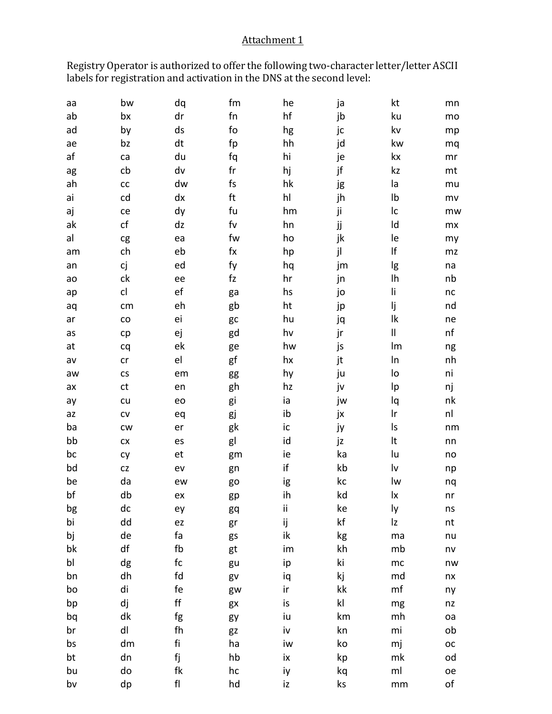## Attachment 1

Registry Operator is authorized to offer the following two-character letter/letter ASCII labels for registration and activation in the DNS at the second level:

| аа | bw                   | dq            | fm               | he | ја            | kt                     | mn          |
|----|----------------------|---------------|------------------|----|---------------|------------------------|-------------|
| ab | bx                   | dr            | ${\sf fn}$       | hf | jb            | ku                     | mo          |
| ad | by                   | ds            | fo               | hg | jc            | kv                     | mp          |
| ae | bz                   | dt            | fp               | hh | jd            | kw                     | mq          |
| af | ca                   | du            | fq               | hi | je            | kx                     | mr          |
| ag | cb                   | dv            | fr               | hj | jf            | kz                     | mt          |
| ah | cc                   | dw            | fs               | hk | jg            | la                     | mu          |
| ai | cd                   | dx            | ft               | hl | jh            | Ib                     | mv          |
| aj | ce                   | dy            | fu               | hm | ji            | Ic                     | mw          |
| ak | cf                   | dz            | f <sub>V</sub>   | hn | jj            | ld                     | mx          |
| al | cg                   | ea            | fw               | ho | jk            | le                     | my          |
| am | ch                   | eb            | $f_{\mathsf{X}}$ | hp | jl            | lf                     | mz          |
| an | сj                   | ed            | fy               | hq | jm            | lg                     | na          |
| ao | ck                   | ee            | fz               | hr | jn            | Ih                     | nb          |
| ap | cl                   | ef            | ga               | hs | jo            | li                     | nc          |
| aq | cm                   | eh            | gb               | ht | jp            | lj                     | nd          |
| ar | ${\rm CO}$           | ei            | gc               | hu | jq            | lk                     | ne          |
| as | cp                   | ej            | gd               | hv | jr            | II                     | nf          |
| at | cq                   | ek            | ge               | hw | js            | lm                     | ng          |
| av | cr                   | el            | gf               | hx | jt            | In                     | nh          |
| aw | $\mathsf{CS}\xspace$ | em            | gg               | hy | ju            | lo                     | ni          |
| ax | ct                   | en            | gh               | hz | jv            | Ip                     | nj          |
| ay | cu                   | eo            | gi               | ia | jw            | lq                     | nk          |
| az | ${\sf CV}$           | eq            | gj               | ib | jx            | Ir                     | nl          |
| ba | <b>CW</b>            | er            | gk               | ic | ју            | Is                     | nm          |
| bb | ${\sf C} {\sf X}$    | es            | gl               | id | jz            | It                     | nn          |
| bc | cy                   | et            | gm               | ie | ka            | lu                     | no          |
| bd | ${\sf CZ}$           | ev            | gn               | if | kb            | $\mathsf{I}\mathsf{v}$ | np          |
| be | da                   | ew            | go               | ig | kc            | lw                     | nq          |
| bf | db                   | ex            | gp               | ih | kd            | lx                     | nr          |
| bg | dc                   | ey            | gq               | ii | ke            | ly                     | ns          |
| bi | dd                   | ez            | gr               | ij | kf            | Iz                     | nt          |
| bj | de                   | fa            | gs               | ik | kg            | ma                     | nu          |
| bk | df                   | fb            | gt               | im | kh            | mb                     | nv          |
| bl | dg                   | fc            | gu               | ip | ki            | mc                     | nw          |
| bn | dh                   | fd            | gv               | iq | kj            | md                     | nx          |
| bo | di                   | fe            | gw               | ir | kk            | mf                     | ny          |
| bp | dj                   | $\mathsf{ff}$ | gx               | is | $\mathsf{kl}$ | mg                     | nz          |
| bq | dk                   | fg            | gy               | iu | km            | mh                     | oa          |
| br | dl                   | fh            | gz               | iv | kn            | mi                     | ob          |
| bs | dm                   | fi            | ha               | iw | ko            | mj                     | $_{\rm OC}$ |
| bt | dn                   | fj            | hb               | ix | kp            | mk                     | od          |
| bu | do                   | fk            | hc               | iy | kq            | ml                     | oe          |
| bv | dp                   | ${\sf fl}$    | hd               | iz | ks            | mm                     | of          |